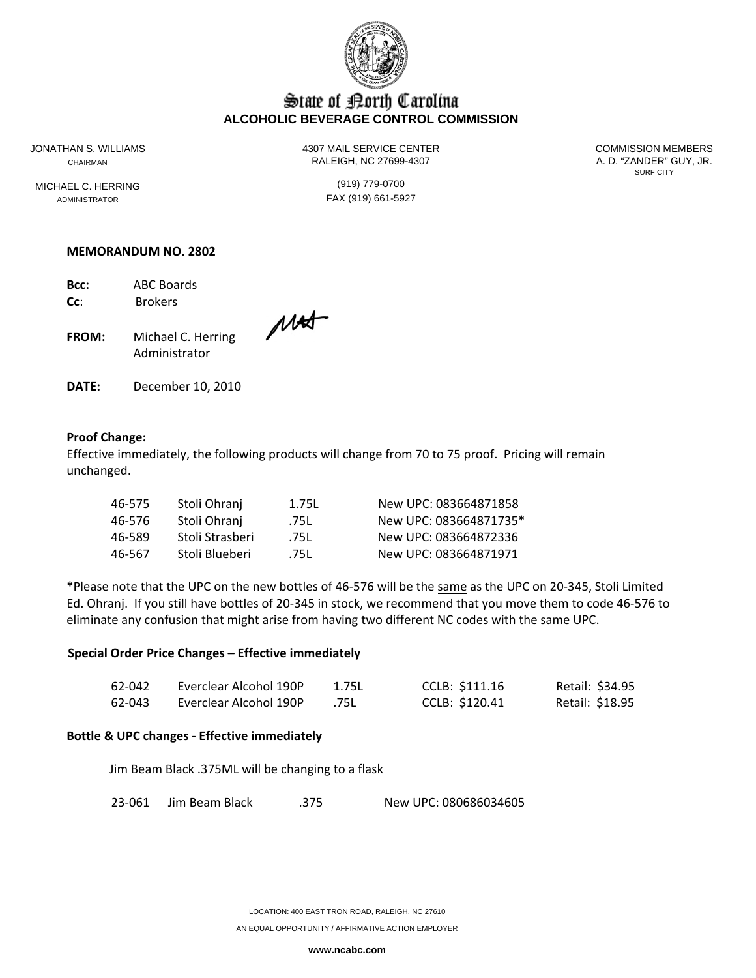

# State of Borth Carolina **ALCOHOLIC BEVERAGE CONTROL COMMISSION**

MICHAEL C. HERRING (919) 779-0700

JONATHAN S. WILLIAMS 4307 MAIL SERVICE CENTER COMMISSION MEMBERS CHAIRMAN CHAIRMAN RALEIGH, NC 27699-4307 A. D. "ZANDER" GUY, JR.

SURF CITY

ADMINISTRATOR **FAX** (919) 661-5927

## **MEMORANDUM NO. 2802**

**Bcc:** ABC Boards **Cc**: Brokers

**FROM:** Michael C. Herring Administrator

**DATE:** December 10, 2010

### **Proof Change:**

Effective immediately, the following products will change from 70 to 75 proof. Pricing will remain unchanged.

| 46-575 | Stoli Ohrani    | 1.75L | New UPC: 083664871858  |
|--------|-----------------|-------|------------------------|
| 46-576 | Stoli Ohrani    | .75L  | New UPC: 083664871735* |
| 46-589 | Stoli Strasberi | .751. | New UPC: 083664872336  |
| 46-567 | Stoli Blueberi  | .75L  | New UPC: 083664871971  |

**\***Please note that the UPC on the new bottles of 46‐576 will be the same as the UPC on 20‐345, Stoli Limited Ed. Ohranj. If you still have bottles of 20‐345 in stock, we recommend that you move them to code 46‐576 to eliminate any confusion that might arise from having two different NC codes with the same UPC.

#### **Special Order Price Changes – Effective immediately**

| 62-042 | Everclear Alcohol 190P | 1.75L | CCLB: \$111.16 | Retail: \$34.95 |
|--------|------------------------|-------|----------------|-----------------|
| 62-043 | Everclear Alcohol 190P |       | CCLB: \$120.41 | Retail: \$18.95 |

#### **Bottle & UPC changes ‐ Effective immediately**

Jim Beam Black .375ML will be changing to a flask

23‐061 Jim Beam Black .375 New UPC: 080686034605

LOCATION: 400 EAST TRON ROAD, RALEIGH, NC 27610 AN EQUAL OPPORTUNITY / AFFIRMATIVE ACTION EMPLOYER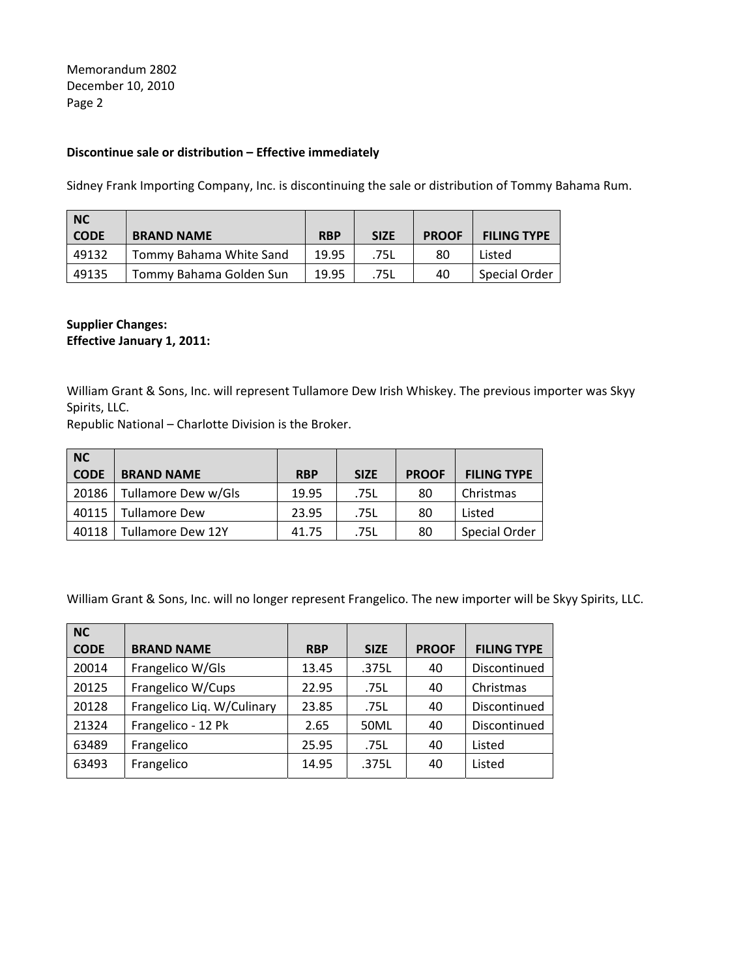Memorandum 2802 December 10, 2010 Page 2

## **Discontinue sale or distribution – Effective immediately**

Sidney Frank Importing Company, Inc. is discontinuing the sale or distribution of Tommy Bahama Rum.

| <b>NC</b>   |                         |            |             |              |                    |
|-------------|-------------------------|------------|-------------|--------------|--------------------|
| <b>CODE</b> | <b>BRAND NAME</b>       | <b>RBP</b> | <b>SIZE</b> | <b>PROOF</b> | <b>FILING TYPE</b> |
| 49132       | Tommy Bahama White Sand | 19.95      | .75L        | 80           | Listed             |
| 49135       | Tommy Bahama Golden Sun | 19.95      | .75L        | 40           | Special Order      |

## **Supplier Changes: Effective January 1, 2011:**

William Grant & Sons, Inc. will represent Tullamore Dew Irish Whiskey. The previous importer was Skyy Spirits, LLC.

Republic National – Charlotte Division is the Broker.

| <b>NC</b>   |                          |            |             |              |                      |
|-------------|--------------------------|------------|-------------|--------------|----------------------|
| <b>CODE</b> | <b>BRAND NAME</b>        | <b>RBP</b> | <b>SIZE</b> | <b>PROOF</b> | <b>FILING TYPE</b>   |
| 20186       | Tullamore Dew w/Gls      | 19.95      | .75L        | 80           | Christmas            |
| 40115       | <b>Tullamore Dew</b>     | 23.95      | .75L        | 80           | Listed               |
| 40118       | <b>Tullamore Dew 12Y</b> | 41.75      | .75L        | 80           | <b>Special Order</b> |

William Grant & Sons, Inc. will no longer represent Frangelico. The new importer will be Skyy Spirits, LLC.

| <b>NC</b>   |                            |            |             |              |                    |
|-------------|----------------------------|------------|-------------|--------------|--------------------|
| <b>CODE</b> | <b>BRAND NAME</b>          | <b>RBP</b> | <b>SIZE</b> | <b>PROOF</b> | <b>FILING TYPE</b> |
| 20014       | Frangelico W/Gls           | 13.45      | .375L       | 40           | Discontinued       |
| 20125       | Frangelico W/Cups          | 22.95      | .75L        | 40           | Christmas          |
| 20128       | Frangelico Liq. W/Culinary | 23.85      | .75L        | 40           | Discontinued       |
| 21324       | Frangelico - 12 Pk         | 2.65       | 50ML        | 40           | Discontinued       |
| 63489       | Frangelico                 | 25.95      | .75L        | 40           | Listed             |
| 63493       | Frangelico                 | 14.95      | .375L       | 40           | Listed             |